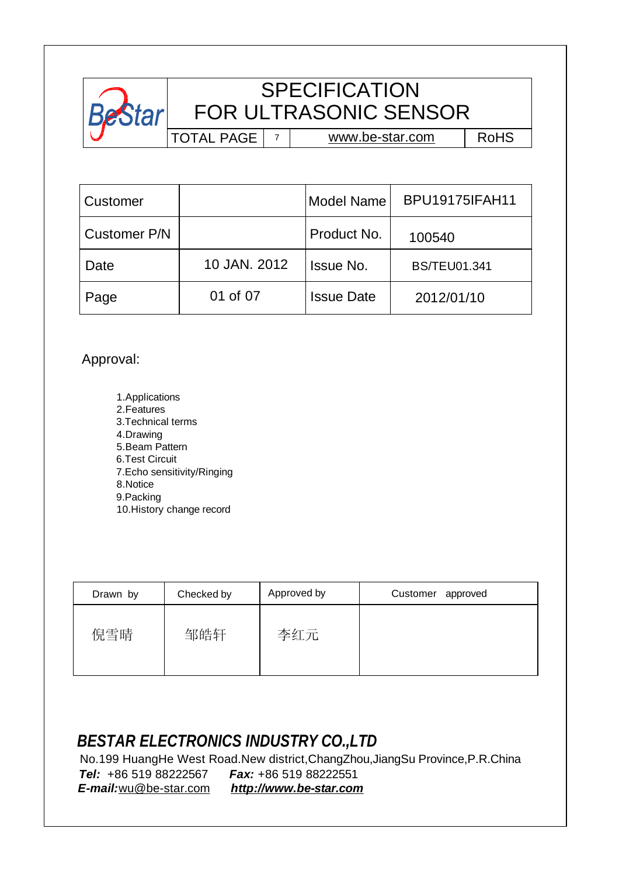

## **SPECIFICATION** FOR ULTRASONIC SENSOR

TOTAL PAGE 7

[www.be-star.com](http://www.be-star.com)

RoHS

| Customer     |              | <b>Model Name</b> | <b>BPU19175IFAH11</b> |
|--------------|--------------|-------------------|-----------------------|
| Customer P/N |              | Product No.       | 100540                |
| Date         | 10 JAN. 2012 | <b>Issue No.</b>  | <b>BS/TEU01.341</b>   |
| Page         | 01 of 07     | <b>Issue Date</b> | 2012/01/10            |

Approval:

 1.Applications 2.Features 3.Technical terms 4.Drawing 5.Beam Pattern 6.Test Circuit 7.Echo sensitivity/Ringing 8.Notice 9.Packing 10.History change record

| Drawn by | Checked by | Approved by | Customer approved |
|----------|------------|-------------|-------------------|
| 倪雪晴      | 邹皓轩        | 李红元         |                   |

## *BESTAR ELECTRONICS INDUSTRY CO.,LTD*

 No.199 HuangHe West Road.New district,ChangZhou,JiangSu Province,P.R.China *Tel:* +86 519 88222567 *Fax:* +86 519 88222551 *E-mail:*[wu@be-star.com](mailto:wu@be-star.com) *<http://www.be-star.com>*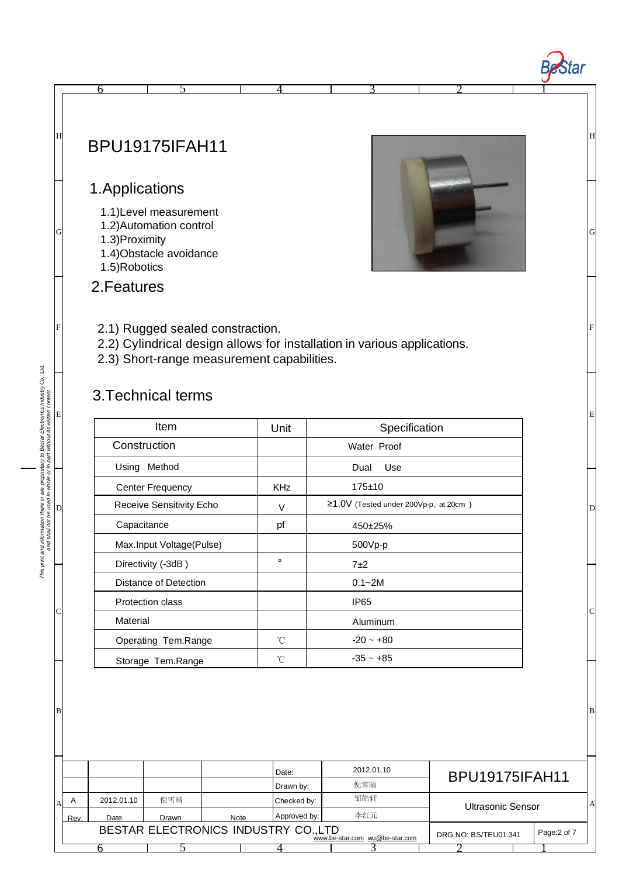## BPU19175IFAH11

## 1.Applications

- 1.1)Level measurement
- 1.2)Automation control
- 1.3)Proximity
- 1.4)Obstacle avoidance
- 1.5)Robotics



H

1

**Bestar** 

G

E

F

D

C

B

A

2.Features

#### 2.1) Rugged sealed constraction.

2.2) Cylindrical design allows for installation in various applications.

6 1 5 1 4 3 2

2.3) Short-range measurement capabilities.

### 3.Technical terms

| Item                     | Unit         | Specification                               |
|--------------------------|--------------|---------------------------------------------|
| Construction             |              | Water Proof                                 |
| Using Method             |              | Use<br>Dual                                 |
| <b>Center Frequency</b>  | <b>KHz</b>   | 175±10                                      |
| Receive Sensitivity Echo | $\vee$       | $\geq$ 1.0V (Tested under 200Vp-p, at 20cm) |
| Capacitance              | рf           | 450±25%                                     |
| Max.Input Voltage(Pulse) |              | 500Vp-p                                     |
| Directivity (-3dB)       | $\circ$      | 7±2                                         |
| Distance of Detection    |              | $0.1 - 2M$                                  |
| Protection class         |              | IP <sub>65</sub>                            |
| Material                 |              | Aluminum                                    |
| Operating Tem.Range      | $^{\circ}$ C | $-20 - +80$                                 |
| Storage Tem.Range        | °C           | $-35 - +85$                                 |

|                                                                                                               |            |       |             | Date:        | 2012.01.10 | <b>BPU19175IFAH11</b> |  |  |
|---------------------------------------------------------------------------------------------------------------|------------|-------|-------------|--------------|------------|-----------------------|--|--|
|                                                                                                               |            |       |             | Drawn by:    | 倪雪晴        |                       |  |  |
| A                                                                                                             | 2012.01.10 | 倪雪晴   |             | Checked by:  | 邹皓轩        | Ultrasonic Sensor     |  |  |
| Rev.                                                                                                          | Date       | Drawn | <b>Note</b> | Approved by: | 李红元        |                       |  |  |
| BESTAR ELECTRONICS INDUSTRY CO.,LTD<br>Page: 2 of 7<br>DRG NO: BS/TEU01.341<br>www.be-star.com wu@be-star.com |            |       |             |              |            |                       |  |  |
|                                                                                                               |            |       |             |              |            |                       |  |  |

# This print and information there in are proprietary to Bestar Electronics Industry Co., Ltd.<br>and shall not be used in whole or in part without its written content *This print and information there in are proprietary to Bestar Electronics Industry Co., Ltd. and shall not be used in whole or in part without its written content* E  $\overline{\mathsf{D}}$

C

B

G

F

H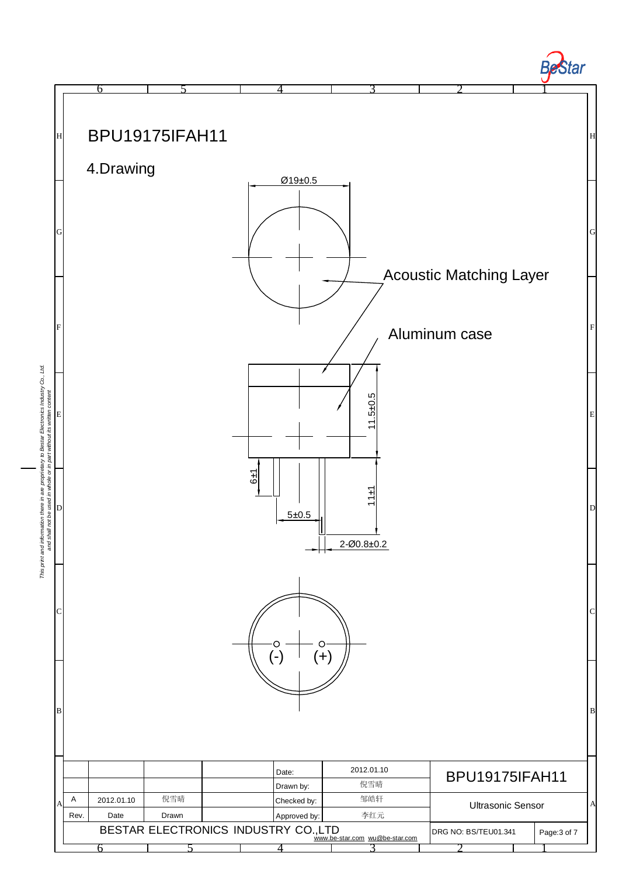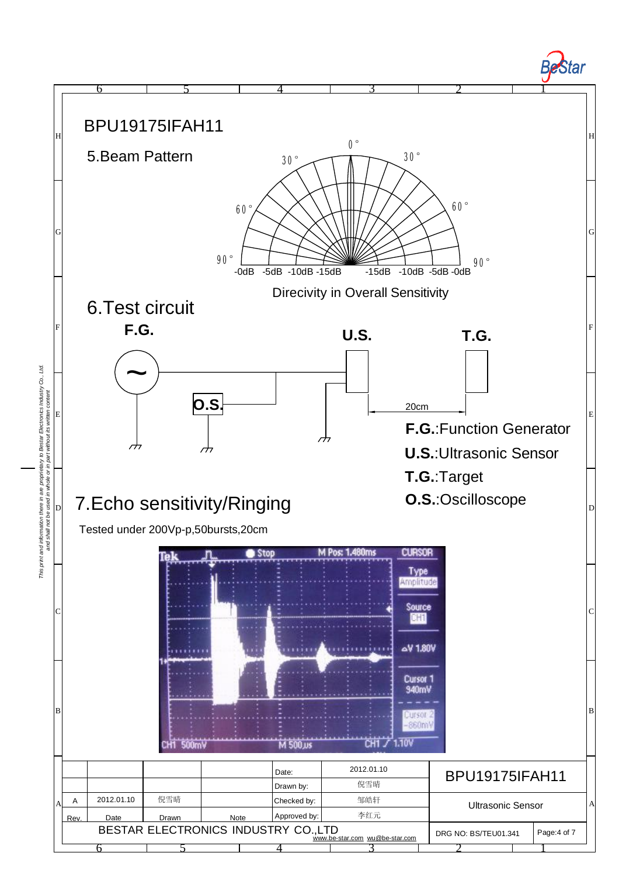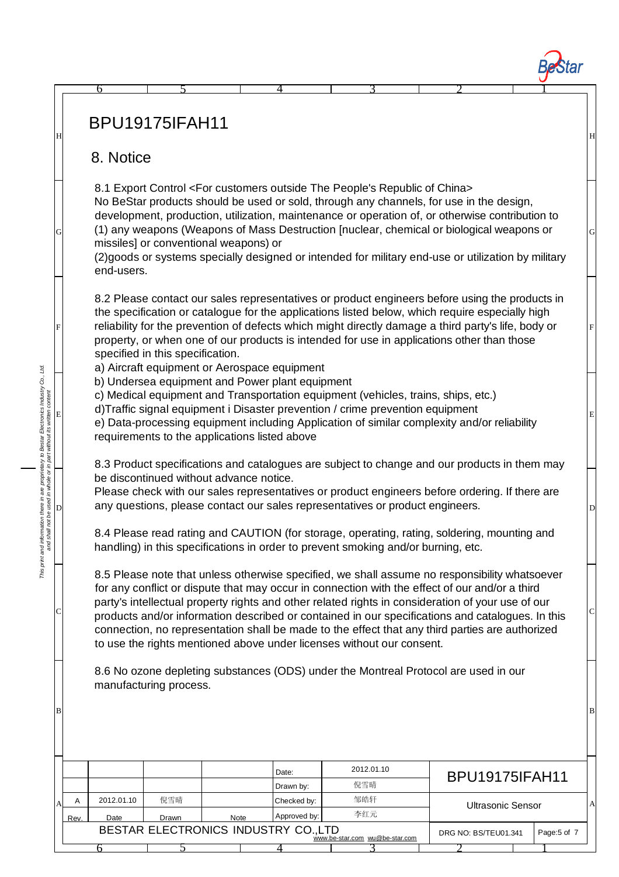## BPU19175IFAH11

#### 8. Notice

6

G

D

*This print and information there in are proprietary to Bestar Electronics Industry Co., Ltd. and shall not be used in whole or in part without its written content*

This print and information there in are proprietary to Bestar Electronics Industry Co., Ltd.<br>and shall not be used in whole or in part without its written content

C

B

E

F

H

8.1 Export Control <For customers outside The People's Republic of China> No BeStar products should be used or sold, through any channels, for use in the design, development, production, utilization, maintenance or operation of, or otherwise contribution to

4

5 1 4 3 2 1

(1) any weapons (Weapons of Mass Destruction [nuclear, chemical or biological weapons or missiles] or conventional weapons) or

G

 $\overline{D}$ 

C

B

E

F

H

(2)goods or systems specially designed or intended for military end-use or utilization by military end-users.

8.2 Please contact our sales representatives or product engineers before using the products in the specification or catalogue for the applications listed below, which require especially high reliability for the prevention of defects which might directly damage a third party's life, body or property, or when one of our products is intended for use in applications other than those specified in this specification.

a) Aircraft equipment or Aerospace equipment

b) Undersea equipment and Power plant equipment

c) Medical equipment and Transportation equipment (vehicles, trains, ships, etc.)

d)Traffic signal equipment i Disaster prevention / crime prevention equipment

e) Data-processing equipment including Application of similar complexity and/or reliability requirements to the applications listed above

8.3 Product specifications and catalogues are subject to change and our products in them may be discontinued without advance notice.

Please check with our sales representatives or product engineers before ordering. If there are any questions, please contact our sales representatives or product engineers.

8.4 Please read rating and CAUTION (for storage, operating, rating, soldering, mounting and handling) in this specifications in order to prevent smoking and/or burning, etc.

8.5 Please note that unless otherwise specified, we shall assume no responsibility whatsoever for any conflict or dispute that may occur in connection with the effect of our and/or a third party's intellectual property rights and other related rights in consideration of your use of our products and/or information described or contained in our specifications and catalogues. In this connection, no representation shall be made to the effect that any third parties are authorized to use the rights mentioned above under licenses without our consent.

8.6 No ozone depleting substances (ODS) under the Montreal Protocol are used in our manufacturing process.

|    |                                                                                                              |            |       |             | Date:        | 2012.01.10 | <b>BPU19175IFAH11</b> |                   |  |  |
|----|--------------------------------------------------------------------------------------------------------------|------------|-------|-------------|--------------|------------|-----------------------|-------------------|--|--|
|    |                                                                                                              |            |       |             | Drawn by:    | 倪雪晴        |                       |                   |  |  |
| Al | А                                                                                                            | 2012.01.10 | 倪雪晴   |             | Checked by:  | 邹皓轩        |                       | Ultrasonic Sensor |  |  |
|    | Rev.                                                                                                         | Date       | Drawn | <b>Note</b> | Approved by: | 李红元        |                       |                   |  |  |
|    | BESTAR ELECTRONICS INDUSTRY CO.,LTD<br>Page:5 of 7<br>DRG NO: BS/TEU01.341<br>www.be-star.com wu@be-star.com |            |       |             |              |            |                       |                   |  |  |
|    |                                                                                                              |            |       |             |              |            |                       |                   |  |  |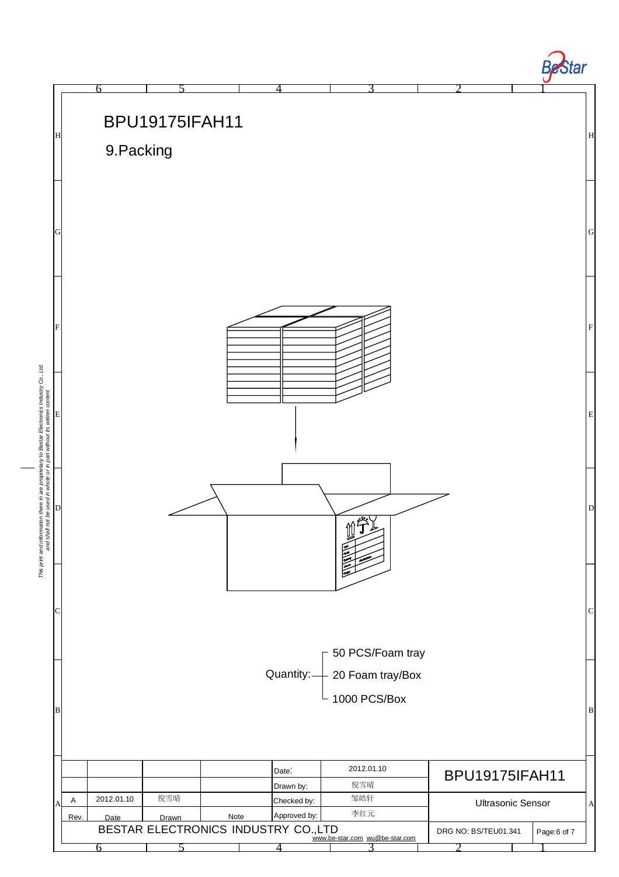